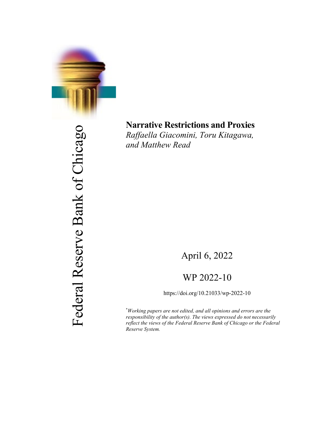

Federal Reserve Bank of Chicago Federal Reserve Bank of Chicago

# **Narrative Restrictions and Proxies**

*Raffaella Giacomini, Toru Kitagawa, and Matthew Read*

## April 6, 2022

## WP 2022-10

https://doi.org/10.21033/wp-2022-10

\* *Working papers are not edited, and all opinions and errors are the responsibility of the author(s). The views expressed do not necessarily reflect the views of the Federal Reserve Bank of Chicago or the Federal Reserve System.*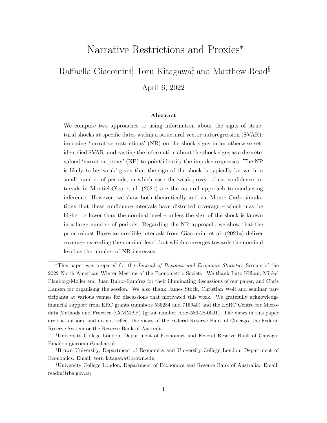## Narrative Restrictions and Proxies<sup>∗</sup>

## <span id="page-1-0"></span>Raffaella Giacomini<sup>†</sup> Toru Kitagawa<sup>‡</sup> and Matthew Read<sup>§</sup> April 6, 2022

#### Abstract

We compare two approaches to using information about the signs of structural shocks at specific dates within a structural vector autoregression (SVAR): imposing 'narrative restrictions' (NR) on the shock signs in an otherwise setidentified SVAR; and casting the information about the shock signs as a discretevalued 'narrative proxy' (NP) to point-identify the impulse responses. The NP is likely to be 'weak' given that the sign of the shock is typically known in a small number of periods, in which case the weak-proxy robust confidence intervals in [Montiel-Olea et al.](#page-27-0) [\(2021\)](#page-27-0) are the natural approach to conducting inference. However, we show both theoretically and via Monte Carlo simulations that these confidence intervals have distorted coverage – which may be higher or lower than the nominal level – unless the sign of the shock is known in a large number of periods. Regarding the NR approach, we show that the prior-robust Bayesian credible intervals from [Giacomini et al.](#page-26-0) [\(2021a\)](#page-26-0) deliver coverage exceeding the nominal level, but which converges towards the nominal level as the number of NR increases.

<sup>∗</sup>This paper was prepared for the Journal of Business and Economic Statistics Session of the 2022 North American Winter Meeting of the Econometric Society. We thank Lutz Killian, Mikkel Plagborg-Møller and Juan Rubio-Ramírez for their illuminating discussions of our paper, and Chris Hansen for organising the session. We also thank James Stock, Christian Wolf and seminar participants at various venues for discussions that motivated this work. We gratefully acknowledge financial support from ERC grants (numbers 536284 and 715940) and the ESRC Centre for Microdata Methods and Practice (CeMMAP) (grant number RES-589-28-0001). The views in this paper are the authors' and do not reflect the views of the Federal Reserve Bank of Chicago, the Federal Reserve System or the Reserve Bank of Australia.

<sup>†</sup>University College London, Department of Economics and Federal Reserve Bank of Chicago. Email: r.giacomini@ucl.ac.uk

<sup>‡</sup>Brown University, Department of Economics and University College London, Department of Economics. Email: toru kitagawa@brown.edu

<sup>§</sup>University College London, Department of Economics and Reserve Bank of Australia. Email: readm@rba.gov.au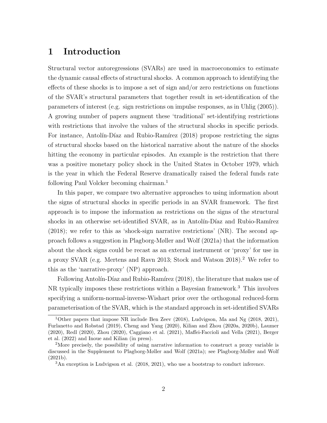## 1 Introduction

Structural vector autoregressions (SVARs) are used in macroeconomics to estimate the dynamic causal effects of structural shocks. A common approach to identifying the effects of these shocks is to impose a set of sign and/or zero restrictions on functions of the SVAR's structural parameters that together result in set-identification of the parameters of interest (e.g. sign restrictions on impulse responses, as in [Uhlig](#page-27-1) [\(2005\)](#page-27-1)). A growing number of papers augment these 'traditional' set-identifying restrictions with restrictions that involve the values of the structural shocks in specific periods. For instance, Antolín-Díaz and Rubio-Ramírez  $(2018)$  propose restricting the signs of structural shocks based on the historical narrative about the nature of the shocks hitting the economy in particular episodes. An example is the restriction that there was a positive monetary policy shock in the United States in October 1979, which is the year in which the Federal Reserve dramatically raised the federal funds rate following Paul Volcker becoming chairman.<sup>[1](#page-1-0)</sup>

In this paper, we compare two alternative approaches to using information about the signs of structural shocks in specific periods in an SVAR framework. The first approach is to impose the information as restrictions on the signs of the structural shocks in an otherwise set-identified SVAR, as in Antolín-Díaz and Rubio-Ramírez [\(2018\)](#page-25-0); we refer to this as 'shock-sign narrative restrictions' (NR). The second approach follows a suggestion in [Plagborg-Møller and Wolf](#page-27-2) [\(2021a\)](#page-27-2) that the information about the shock signs could be recast as an external instrument or 'proxy' for use in a proxy SVAR (e.g. [Mertens and Ravn 2013;](#page-26-1) [Stock and Watson 2018\)](#page-27-3).[2](#page-1-0) We refer to this as the 'narrative-proxy' (NP) approach.

Following Antolín-Díaz and Rubio-Ramírez [\(2018\)](#page-25-0), the literature that makes use of NR typically imposes these restrictions within a Bayesian framework.[3](#page-1-0) This involves specifying a uniform-normal-inverse-Wishart prior over the orthogonal reduced-form parameterisation of the SVAR, which is the standard approach in set-identified SVARs

<sup>&</sup>lt;sup>1</sup>Other papers that impose NR include [Ben Zeev](#page-25-1) [\(2018\)](#page-25-1), Ludvigson, Ma and Ng (2018, 2021), [Furlanetto and Robstad](#page-25-2) [\(2019\)](#page-25-2), [Cheng and Yang](#page-25-3) [\(2020\)](#page-25-3), Kilian and Zhou (2020a, 2020b), [Laumer](#page-26-2) [\(2020\)](#page-26-2), [Redl](#page-27-4) [\(2020\)](#page-27-4), [Zhou](#page-27-5) [\(2020\)](#page-27-5), [Caggiano et al.](#page-25-4) [\(2021\)](#page-25-4), [Maffei-Faccioli and Vella](#page-26-3) [\(2021\)](#page-26-3), [Berger](#page-25-5) [et al.](#page-25-5) [\(2022\)](#page-25-5) and [Inoue and Kilian](#page-26-4) [\(in press\)](#page-26-4).

<sup>&</sup>lt;sup>2</sup>More precisely, the possibility of using narrative information to construct a proxy variable is discussed in the Supplement to [Plagborg-Møller and Wolf](#page-27-2) [\(2021a\)](#page-27-2); see [Plagborg-Møller and Wolf](#page-27-6) [\(2021b\)](#page-27-6).

<sup>3</sup>An exception is Ludvigson et al. (2018, 2021), who use a bootstrap to conduct inference.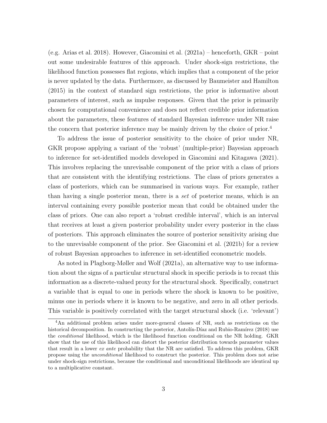(e.g. [Arias et al. 2018\)](#page-25-6). However, [Giacomini et al.](#page-26-0) [\(2021a\)](#page-26-0) – henceforth, GKR – point out some undesirable features of this approach. Under shock-sign restrictions, the likelihood function possesses flat regions, which implies that a component of the prior is never updated by the data. Furthermore, as discussed by [Baumeister and Hamilton](#page-25-7) [\(2015\)](#page-25-7) in the context of standard sign restrictions, the prior is informative about parameters of interest, such as impulse responses. Given that the prior is primarily chosen for computational convenience and does not reflect credible prior information about the parameters, these features of standard Bayesian inference under NR raise the concern that posterior inference may be mainly driven by the choice of prior.[4](#page-1-0)

To address the issue of posterior sensitivity to the choice of prior under NR, GKR propose applying a variant of the 'robust' (multiple-prior) Bayesian approach to inference for set-identified models developed in [Giacomini and Kitagawa](#page-26-5) [\(2021\)](#page-26-5). This involves replacing the unrevisable component of the prior with a class of priors that are consistent with the identifying restrictions. The class of priors generates a class of posteriors, which can be summarised in various ways. For example, rather than having a single posterior mean, there is a set of posterior means, which is an interval containing every possible posterior mean that could be obtained under the class of priors. One can also report a 'robust credible interval', which is an interval that receives at least a given posterior probability under every posterior in the class of posteriors. This approach eliminates the source of posterior sensitivity arising due to the unrevisable component of the prior. See [Giacomini et al.](#page-26-6) [\(2021b\)](#page-26-6) for a review of robust Bayesian approaches to inference in set-identified econometric models.

As noted in [Plagborg-Møller and Wolf](#page-27-2) [\(2021a\)](#page-27-2), an alternative way to use information about the signs of a particular structural shock in specific periods is to recast this information as a discrete-valued proxy for the structural shock. Specifically, construct a variable that is equal to one in periods where the shock is known to be positive, minus one in periods where it is known to be negative, and zero in all other periods. This variable is positively correlated with the target structural shock (i.e. 'relevant')

<sup>4</sup>An additional problem arises under more-general classes of NR, such as restrictions on the historical decomposition. In constructing the posterior, Antolín-Díaz and Rubio-Ramírez [\(2018\)](#page-25-0) use the conditional likelihood, which is the likelihood function conditional on the NR holding. GKR show that the use of this likelihood can distort the posterior distribution towards parameter values that result in a lower ex ante probability that the NR are satisfied. To address this problem, GKR propose using the unconditional likelihood to construct the posterior. This problem does not arise under shock-sign restrictions, because the conditional and unconditional likelihoods are identical up to a multiplicative constant.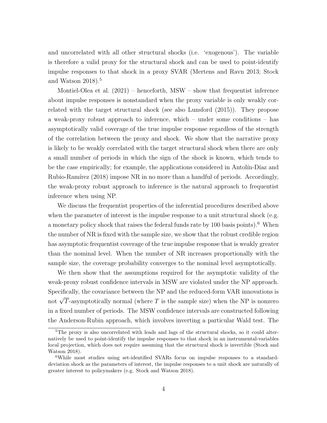and uncorrelated with all other structural shocks (i.e. 'exogenous'). The variable is therefore a valid proxy for the structural shock and can be used to point-identify impulse responses to that shock in a proxy SVAR [\(Mertens and Ravn 2013;](#page-26-1) [Stock](#page-27-3) [and Watson 2018\)](#page-27-3).<sup>[5](#page-1-0)</sup>

[Montiel-Olea et al.](#page-27-0)  $(2021)$  – henceforth, MSW – show that frequentist inference about impulse responses is nonstandard when the proxy variable is only weakly correlated with the target structural shock (see also [Lunsford](#page-26-7) [\(2015\)](#page-26-7)). They propose a weak-proxy robust approach to inference, which – under some conditions – has asymptotically valid coverage of the true impulse response regardless of the strength of the correlation between the proxy and shock. We show that the narrative proxy is likely to be weakly correlated with the target structural shock when there are only a small number of periods in which the sign of the shock is known, which tends to be the case empirically; for example, the applications considered in Antolin-Díaz and Rubio-Ramírez  $(2018)$  impose NR in no more than a handful of periods. Accordingly, the weak-proxy robust approach to inference is the natural approach to frequentist inference when using NP.

We discuss the frequentist properties of the inferential procedures described above when the parameter of interest is the impulse response to a unit structural shock (e.g. a monetary policy shock that raises the federal funds rate by  $100$  basis points).<sup>[6](#page-1-0)</sup> When the number of NR is fixed with the sample size, we show that the robust credible region has asymptotic frequentist coverage of the true impulse response that is weakly greater than the nominal level. When the number of NR increases proportionally with the sample size, the coverage probability converges to the nominal level asymptotically.

We then show that the assumptions required for the asymptotic validity of the weak-proxy robust confidence intervals in MSW are violated under the NP approach. Specifically, the covariance between the NP and the reduced-form VAR innovations is not  $\sqrt{T}$ -asymptotically normal (where  $T$  is the sample size) when the NP is nonzero in a fixed number of periods. The MSW confidence intervals are constructed following the Anderson-Rubin approach, which involves inverting a particular Wald test. The

 $5$ The proxy is also uncorrelated with leads and lags of the structural shocks, so it could alternatively be used to point-identify the impulse responses to that shock in an instrumental-variables local projection, which does not require assuming that the structural shock is invertible [\(Stock and](#page-27-3) [Watson 2018\)](#page-27-3).

<sup>6</sup>While most studies using set-identified SVARs focus on impulse responses to a standarddeviation shock as the parameters of interest, the impulse responses to a unit shock are naturally of greater interest to policymakers (e.g. [Stock and Watson 2018\)](#page-27-3).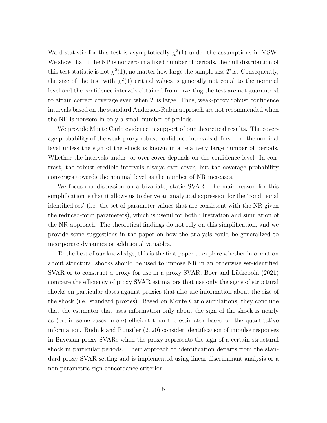Wald statistic for this test is asymptotically  $\chi^2(1)$  under the assumptions in MSW. We show that if the NP is nonzero in a fixed number of periods, the null distribution of this test statistic is not  $\chi^2(1)$ , no matter how large the sample size T is. Consequently, the size of the test with  $\chi^2(1)$  critical values is generally not equal to the nominal level and the confidence intervals obtained from inverting the test are not guaranteed to attain correct coverage even when  $T$  is large. Thus, weak-proxy robust confidence intervals based on the standard Anderson-Rubin approach are not recommended when the NP is nonzero in only a small number of periods.

We provide Monte Carlo evidence in support of our theoretical results. The coverage probability of the weak-proxy robust confidence intervals differs from the nominal level unless the sign of the shock is known in a relatively large number of periods. Whether the intervals under- or over-cover depends on the confidence level. In contrast, the robust credible intervals always over-cover, but the coverage probability converges towards the nominal level as the number of NR increases.

We focus our discussion on a bivariate, static SVAR. The main reason for this simplification is that it allows us to derive an analytical expression for the 'conditional identified set' (i.e. the set of parameter values that are consistent with the NR given the reduced-form parameters), which is useful for both illustration and simulation of the NR approach. The theoretical findings do not rely on this simplification, and we provide some suggestions in the paper on how the analysis could be generalized to incorporate dynamics or additional variables.

To the best of our knowledge, this is the first paper to explore whether information about structural shocks should be used to impose NR in an otherwise set-identified SVAR or to construct a proxy for use in a proxy SVAR. Boer and Lütkepohl [\(2021\)](#page-25-8) compare the efficiency of proxy SVAR estimators that use only the signs of structural shocks on particular dates against proxies that also use information about the size of the shock (i.e. standard proxies). Based on Monte Carlo simulations, they conclude that the estimator that uses information only about the sign of the shock is nearly as (or, in some cases, more) efficient than the estimator based on the quantitative information. Budnik and Rünstler [\(2020\)](#page-25-9) consider identification of impulse responses in Bayesian proxy SVARs when the proxy represents the sign of a certain structural shock in particular periods. Their approach to identification departs from the standard proxy SVAR setting and is implemented using linear discriminant analysis or a non-parametric sign-concordance criterion.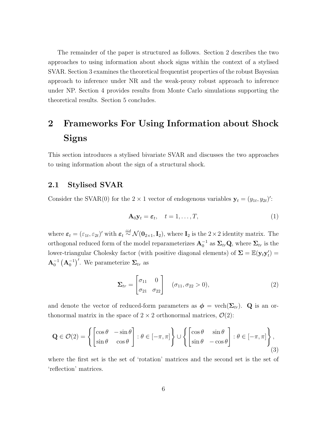The remainder of the paper is structured as follows. Section [2](#page-6-0) describes the two approaches to using information about shock signs within the context of a stylised SVAR. Section [3](#page-13-0) examines the theoretical frequentist properties of the robust Bayesian approach to inference under NR and the weak-proxy robust approach to inference under NP. Section [4](#page-19-0) provides results from Monte Carlo simulations supporting the theoretical results. Section [5](#page-23-0) concludes.

## <span id="page-6-0"></span>2 Frameworks For Using Information about Shock Signs

This section introduces a stylised bivariate SVAR and discusses the two approaches to using information about the sign of a structural shock.

#### 2.1 Stylised SVAR

Consider the SVAR(0) for the  $2 \times 1$  vector of endogenous variables  $\mathbf{y}_t = (y_{1t}, y_{2t})'$ :

<span id="page-6-1"></span>
$$
\mathbf{A}_0 \mathbf{y}_t = \boldsymbol{\varepsilon}_t, \quad t = 1, \dots, T,
$$
\n(1)

where  $\varepsilon_t = (\varepsilon_{1t}, \varepsilon_{2t})'$  with  $\varepsilon_t \stackrel{iid}{\sim} \mathcal{N}(\mathbf{0}_{2\times 1}, \mathbf{I}_2)$ , where  $\mathbf{I}_2$  is the  $2 \times 2$  identity matrix. The orthogonal reduced form of the model reparameterizes  $A_0^{-1}$  as  $\Sigma_{tr} Q$ , where  $\Sigma_{tr}$  is the lower-triangular Cholesky factor (with positive diagonal elements) of  $\Sigma = \mathbb{E}(\mathbf{y}_t \mathbf{y}_t') =$  $\mathbf{A}_0^{-1} \left( \mathbf{A}_0^{-1} \right)^{\prime}$ . We parameterize  $\mathbf{\Sigma}_{tr}$  as

$$
\Sigma_{tr} = \begin{bmatrix} \sigma_{11} & 0\\ \sigma_{21} & \sigma_{22} \end{bmatrix} \quad (\sigma_{11}, \sigma_{22} > 0), \tag{2}
$$

and denote the vector of reduced-form parameters as  $\phi = \text{vech}(\Sigma_{tr})$ . Q is an orthonormal matrix in the space of  $2 \times 2$  orthonormal matrices,  $\mathcal{O}(2)$ :

$$
\mathbf{Q} \in \mathcal{O}(2) = \left\{ \begin{bmatrix} \cos \theta & -\sin \theta \\ \sin \theta & \cos \theta \end{bmatrix} : \theta \in [-\pi, \pi] \right\} \cup \left\{ \begin{bmatrix} \cos \theta & \sin \theta \\ \sin \theta & -\cos \theta \end{bmatrix} : \theta \in [-\pi, \pi] \right\},\tag{3}
$$

where the first set is the set of 'rotation' matrices and the second set is the set of 'reflection' matrices.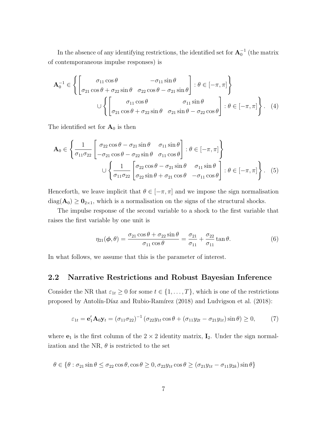In the absence of any identifying restrictions, the identified set for  $\mathbf{A}_0^{-1}$  (the matrix of contemporaneous impulse responses) is

$$
\mathbf{A}_0^{-1} \in \left\{ \begin{bmatrix} \sigma_{11} \cos \theta & -\sigma_{11} \sin \theta \\ \sigma_{21} \cos \theta + \sigma_{22} \sin \theta & \sigma_{22} \cos \theta - \sigma_{21} \sin \theta \end{bmatrix} : \theta \in [-\pi, \pi] \right\}
$$
  

$$
\cup \left\{ \begin{bmatrix} \sigma_{11} \cos \theta & \sigma_{11} \sin \theta \\ \sigma_{21} \cos \theta + \sigma_{22} \sin \theta & \sigma_{21} \sin \theta - \sigma_{22} \cos \theta \end{bmatrix} : \theta \in [-\pi, \pi] \right\}.
$$
 (4)

The identified set for  $A_0$  is then

$$
\mathbf{A}_{0} \in \left\{ \frac{1}{\sigma_{11}\sigma_{22}} \begin{bmatrix} \sigma_{22}\cos\theta - \sigma_{21}\sin\theta & \sigma_{11}\sin\theta \\ -\sigma_{21}\cos\theta - \sigma_{22}\sin\theta & \sigma_{11}\cos\theta \end{bmatrix} : \theta \in [-\pi, \pi] \right\}
$$
  

$$
\cup \left\{ \frac{1}{\sigma_{11}\sigma_{22}} \begin{bmatrix} \sigma_{22}\cos\theta - \sigma_{21}\sin\theta & \sigma_{11}\sin\theta \\ \sigma_{22}\sin\theta + \sigma_{21}\cos\theta & -\sigma_{11}\cos\theta \end{bmatrix} : \theta \in [-\pi, \pi] \right\}.
$$
 (5)

Henceforth, we leave implicit that  $\theta \in [-\pi, \pi]$  and we impose the sign normalisation  $diag(\mathbf{A}_0) \geq \mathbf{0}_{2\times1}$ , which is a normalisation on the signs of the structural shocks.

The impulse response of the second variable to a shock to the first variable that raises the first variable by one unit is

<span id="page-7-0"></span>
$$
\eta_{21}(\boldsymbol{\phi}, \theta) = \frac{\sigma_{21}\cos\theta + \sigma_{22}\sin\theta}{\sigma_{11}\cos\theta} = \frac{\sigma_{21}}{\sigma_{11}} + \frac{\sigma_{22}}{\sigma_{11}}\tan\theta. \tag{6}
$$

In what follows, we assume that this is the parameter of interest.

#### 2.2 Narrative Restrictions and Robust Bayesian Inference

Consider the NR that  $\varepsilon_{1t} \geq 0$  for some  $t \in \{1, ..., T\}$ , which is one of the restrictions proposed by Antolín-Díaz and Rubio-Ramírez [\(2018\)](#page-26-8) and [Ludvigson et al.](#page-26-8) (2018):

$$
\varepsilon_{1t} = \mathbf{e}'_1 \mathbf{A}_0 \mathbf{y}_t = (\sigma_{11} \sigma_{22})^{-1} (\sigma_{22} y_{1t} \cos \theta + (\sigma_{11} y_{2t} - \sigma_{21} y_{1t}) \sin \theta) \ge 0, \tag{7}
$$

where  $e_1$  is the first column of the  $2 \times 2$  identity matrix,  $I_2$ . Under the sign normalization and the NR,  $\theta$  is restricted to the set

$$
\theta \in \{\theta : \sigma_{21}\sin\theta \le \sigma_{22}\cos\theta, \cos\theta \ge 0, \sigma_{22}y_{1t}\cos\theta \ge (\sigma_{21}y_{1t} - \sigma_{11}y_{2k})\sin\theta\}
$$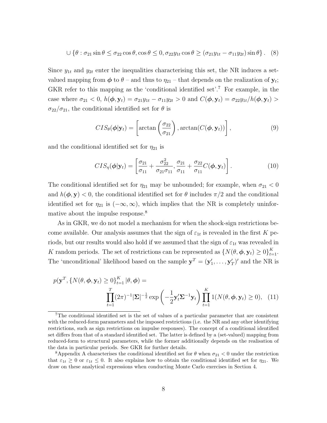$$
\cup \left\{ \theta : \sigma_{21} \sin \theta \le \sigma_{22} \cos \theta, \cos \theta \le 0, \sigma_{22} y_{1t} \cos \theta \ge (\sigma_{21} y_{1t} - \sigma_{11} y_{2t}) \sin \theta \right\}. \tag{8}
$$

Since  $y_{1t}$  and  $y_{2t}$  enter the inequalities characterising this set, the NR induces a setvalued mapping from  $\phi$  to  $\theta$  – and thus to  $\eta_{21}$  – that depends on the realization of  $\mathbf{y}_t$ ; GKR refer to this mapping as the 'conditional identified set'.[7](#page-1-0) For example, in the case where  $\sigma_{21} < 0$ ,  $h(\phi, y_t) = \sigma_{21}y_{1t} - \sigma_{11}y_{2t} > 0$  and  $C(\phi, y_t) = \sigma_{22}y_{1t}/h(\phi, y_t) >$  $\sigma_{22}/\sigma_{21}$ , the conditional identified set for  $\theta$  is

$$
CIS_{\theta}(\boldsymbol{\phi}|\mathbf{y}_t) = \left[\arctan\left(\frac{\sigma_{22}}{\sigma_{21}}\right), \arctan(C(\boldsymbol{\phi}, \mathbf{y}_t))\right],\tag{9}
$$

and the conditional identified set for  $\eta_{21}$  is

$$
CIS_{\eta}(\boldsymbol{\phi}|\mathbf{y}_{t}) = \left[\frac{\sigma_{21}}{\sigma_{11}} + \frac{\sigma_{22}^{2}}{\sigma_{21}\sigma_{11}}, \frac{\sigma_{21}}{\sigma_{11}} + \frac{\sigma_{22}}{\sigma_{11}}C(\boldsymbol{\phi}, \mathbf{y}_{t})\right].
$$
\n(10)

The conditional identified set for  $\eta_{21}$  may be unbounded; for example, when  $\sigma_{21} < 0$ and  $h(\phi, \mathbf{y}) < 0$ , the conditional identified set for  $\theta$  includes  $\pi/2$  and the conditional identified set for  $\eta_{21}$  is  $(-\infty,\infty)$ , which implies that the NR is completely uninfor-mative about the impulse response.<sup>[8](#page-1-0)</sup>

As in GKR, we do not model a mechanism for when the shock-sign restrictions become available. Our analysis assumes that the sign of  $\varepsilon_{1t}$  is revealed in the first K periods, but our results would also hold if we assumed that the sign of  $\varepsilon_{1t}$  was revealed in K random periods. The set of restrictions can be represented as  $\{N(\theta, \phi, \mathbf{y}_t) \ge 0\}_{t=1}^K$ . The 'unconditional' likelihood based on the sample  $y^T = (y'_1, \ldots, y'_T)'$  and the NR is

$$
p(\mathbf{y}^T, \{N(\theta, \phi, \mathbf{y}_t) \ge 0\}_{t=1}^K |\theta, \phi) = \prod_{t=1}^T (2\pi)^{-1} |\Sigma|^{-\frac{1}{2}} \exp\left(-\frac{1}{2}\mathbf{y}_t' \Sigma^{-1} \mathbf{y}_t\right) \prod_{t=1}^K \mathbf{1}(N(\theta, \phi, \mathbf{y}_t) \ge 0), \quad (11)
$$

<sup>7</sup>The conditional identified set is the set of values of a particular parameter that are consistent with the reduced-form parameters and the imposed restrictions (i.e. the NR and any other identifying restrictions, such as sign restrictions on impulse responses). The concept of a conditional identified set differs from that of a standard identified set. The latter is defined by a (set-valued) mapping from reduced-form to structural parameters, while the former additionally depends on the realisation of the data in particular periods. See GKR for further details.

<sup>&</sup>lt;sup>8</sup>Appendix [A](#page-27-7) characterises the conditional identified set for  $\theta$  when  $\sigma_{21}$  < 0 under the restriction that  $\varepsilon_{1t} \geq 0$  or  $\varepsilon_{1t} \leq 0$ . It also explains how to obtain the conditional identified set for  $\eta_{21}$ . We draw on these analytical expressions when conducting Monte Carlo exercises in Section [4.](#page-19-0)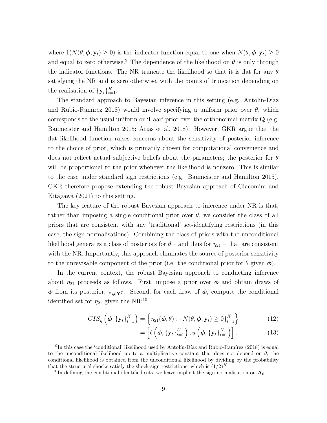where  $1(N(\theta, \phi, y_t) \ge 0)$  is the indicator function equal to one when  $N(\theta, \phi, y_t) \ge 0$ and equal to zero otherwise.<sup>[9](#page-1-0)</sup> The dependence of the likelihood on  $\theta$  is only through the indicator functions. The NR truncate the likelihood so that it is flat for any  $\theta$ satisfying the NR and is zero otherwise, with the points of truncation depending on the realisation of  $\{y_t\}_{t=1}^K$ .

The standard approach to Bayesian inference in this setting  $(e.g.$  Antolin-Díaz and Rubio-Ramírez 2018) would involve specifying a uniform prior over  $\theta$ , which corresponds to the usual uniform or 'Haar' prior over the orthonormal matrix  $Q$  (e.g. [Baumeister and Hamilton 2015;](#page-25-7) [Arias et al. 2018\)](#page-25-6). However, GKR argue that the flat likelihood function raises concerns about the sensitivity of posterior inference to the choice of prior, which is primarily chosen for computational convenience and does not reflect actual subjective beliefs about the parameters; the posterior for  $\theta$ will be proportional to the prior whenever the likelihood is nonzero. This is similar to the case under standard sign restrictions (e.g. [Baumeister and Hamilton 2015\)](#page-25-7). GKR therefore propose extending the robust Bayesian approach of [Giacomini and](#page-26-5) [Kitagawa](#page-26-5) [\(2021\)](#page-26-5) to this setting.

The key feature of the robust Bayesian approach to inference under NR is that, rather than imposing a single conditional prior over  $\theta$ , we consider the class of all priors that are consistent with any 'traditional' set-identifying restrictions (in this case, the sign normalisations). Combining the class of priors with the unconditional likelihood generates a class of posteriors for  $\theta$  – and thus for  $\eta_{21}$  – that are consistent with the NR. Importantly, this approach eliminates the source of posterior sensitivity to the unrevisable component of the prior (i.e. the conditional prior for  $\theta$  given  $\phi$ ).

In the current context, the robust Bayesian approach to conducting inference about  $\eta_{21}$  proceeds as follows. First, impose a prior over  $\phi$  and obtain draws of  $\phi$  from its posterior,  $\pi_{\phi|Y}$ . Second, for each draw of  $\phi$ , compute the conditional identified set for  $\eta_{21}$  given the NR:<sup>[10](#page-1-0)</sup>

$$
CIS_{\eta}\left(\boldsymbol{\phi}|\left\{\mathbf{y}_{t}\right\}_{t=1}^{K}\right) = \left\{\eta_{21}(\boldsymbol{\phi},\theta): \left\{N(\theta,\boldsymbol{\phi},\mathbf{y}_{t})\geq 0\right\}_{t=1}^{K}\right\}
$$
(12)

$$
= \left[ \ell \left( \boldsymbol{\phi}, \{ \mathbf{y}_t \}_{t=1}^K \right), u \left( \boldsymbol{\phi}, \{ \mathbf{y}_t \}_{t=1}^K \right) \right]. \tag{13}
$$

 ${}^{9}$ In this case the 'conditional' likelihood used by Antolín-Díaz and Rubio-Ramírez [\(2018\)](#page-25-0) is equal to the unconditional likelihood up to a multiplicative constant that does not depend on  $\theta$ ; the conditional likelihood is obtained from the unconditional likelihood by dividing by the probability that the structural shocks satisfy the shock-sign restrictions, which is  $(1/2)^K$ .

<sup>&</sup>lt;sup>10</sup>In defining the conditional identified sets, we leave implicit the sign normalisation on  $\mathbf{A}_0$ .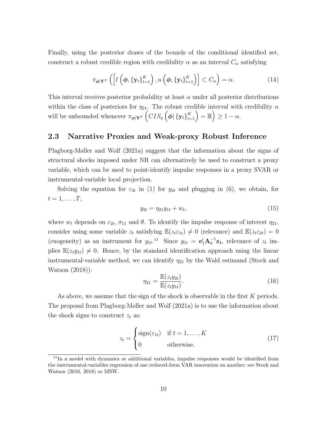Finally, using the posterior draws of the bounds of the conditional identified set, construct a robust credible region with credibility  $\alpha$  as an interval  $C_{\alpha}$  satisfying

$$
\pi_{\phi|\mathbf{Y}^T}\left(\left[\ell\left(\phi,\{\mathbf{y}_t\}_{t=1}^K\right),u\left(\phi,\{\mathbf{y}_t\}_{t=1}^K\right)\right]\subset C_{\alpha}\right)=\alpha.
$$
\n(14)

This interval receives posterior probability at least  $\alpha$  under all posterior distributions within the class of posteriors for  $\eta_{21}$ . The robust credible interval with credibility  $\alpha$ will be unbounded whenever  $\pi_{\phi|{\mathbf{Y}}^T}\left(CIS_\eta\left(\phi\big|\left\{{\mathbf{y}}_t\right\}_{t=1}^K\right)=\mathbb{R}\right)\geq 1-\alpha$ .

#### <span id="page-10-1"></span>2.3 Narrative Proxies and Weak-proxy Robust Inference

[Plagborg-Møller and Wolf](#page-27-2) [\(2021a\)](#page-27-2) suggest that the information about the signs of structural shocks imposed under NR can alternatively be used to construct a proxy variable, which can be used to point-identify impulse responses in a proxy SVAR or instrumental-variable local projection.

Solving the equation for  $\varepsilon_{2t}$  in [\(1\)](#page-6-1) for  $y_{2t}$  and plugging in [\(6\)](#page-7-0), we obtain, for  $t=1,\ldots,T,$ 

$$
y_{2t} = \eta_{21} y_{1t} + w_t, \tag{15}
$$

where  $w_t$  depends on  $\varepsilon_{2t}$ ,  $\sigma_{11}$  and  $\theta$ . To identify the impulse response of interest  $\eta_{21}$ , consider using some variable  $z_t$  satisfying  $\mathbb{E}(z_t \varepsilon_{1t}) \neq 0$  (relevance) and  $\mathbb{E}(z_t \varepsilon_{2t}) = 0$ (exogeneity) as an instrument for  $y_{1t}$ .<sup>[11](#page-1-0)</sup> Since  $y_{1t} = e'_1 \mathbf{A}_0^{-1} \varepsilon_t$ , relevance of  $z_t$  implies  $\mathbb{E}(z_t y_{1t}) \neq 0$ . Hence, by the standard identification approach using the linear instrumental-variable method, we can identify  $\eta_{21}$  by the Wald estimand [\(Stock and](#page-27-3) [Watson](#page-27-3) [\(2018\)](#page-27-3)):

<span id="page-10-0"></span>
$$
\eta_{21} = \frac{\mathbb{E}(z_t y_{2t})}{\mathbb{E}(z_t y_{1t})}.
$$
\n(16)

As above, we assume that the sign of the shock is observable in the first K periods. The proposal from [Plagborg-Møller and Wolf](#page-27-2) [\(2021a\)](#page-27-2) is to use the information about the shock signs to construct  $z_t$  as:

$$
z_t = \begin{cases} \text{sign}(\varepsilon_{1t}) & \text{if } t = 1, \dots, K \\ 0 & \text{otherwise.} \end{cases} \tag{17}
$$

<sup>&</sup>lt;sup>11</sup>In a model with dynamics or additional variables, impulse responses would be identified from the instrumental-variables regression of one reduced-form VAR innovation on another; see Stock and Watson (2016, 2018) or MSW.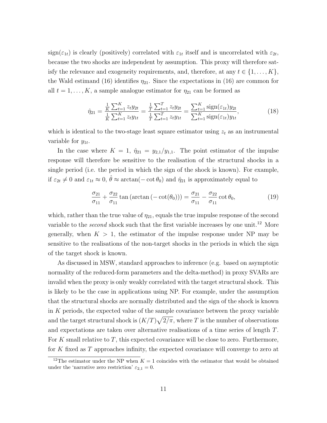$sign(\varepsilon_{1t})$  is clearly (positively) correlated with  $\varepsilon_{1t}$  itself and is uncorrelated with  $\varepsilon_{2t}$ , because the two shocks are independent by assumption. This proxy will therefore satisfy the relevance and exogeneity requirements, and, therefore, at any  $t \in \{1, \ldots, K\},$ the Wald estimand [\(16\)](#page-10-0) identifies  $\eta_{21}$ . Since the expectations in (16) are common for all  $t = 1, \ldots, K$ , a sample analogue estimator for  $\eta_{21}$  can be formed as

$$
\hat{\eta}_{21} = \frac{\frac{1}{K} \sum_{t=1}^{K} z_t y_{2t}}{\frac{1}{K} \sum_{t=1}^{K} z_t y_{1t}} = \frac{\frac{1}{T} \sum_{t=1}^{T} z_t y_{2t}}{\frac{1}{T} \sum_{t=1}^{T} z_t y_{1t}} = \frac{\sum_{t=1}^{K} \text{sign}(\varepsilon_{1t}) y_{2t}}{\sum_{t=1}^{K} \text{sign}(\varepsilon_{1t}) y_{1t}},
$$
\n(18)

which is identical to the two-stage least square estimator using  $z_t$  as an instrumental variable for  $y_{1t}$ .

In the case where  $K = 1$ ,  $\hat{\eta}_{21} = y_{2,1}/y_{1,1}$ . The point estimator of the impulse response will therefore be sensitive to the realisation of the structural shocks in a single period (i.e. the period in which the sign of the shock is known). For example, if  $\varepsilon_{2t} \neq 0$  and  $\varepsilon_{1t} \approx 0$ ,  $\hat{\theta} \approx \arctan(-\cot \theta_0)$  and  $\hat{\eta}_{21}$  is approximately equal to

$$
\frac{\sigma_{21}}{\sigma_{11}} + \frac{\sigma_{22}}{\sigma_{11}} \tan\left(\arctan\left(-\cot(\theta_0)\right)\right) = \frac{\sigma_{21}}{\sigma_{11}} - \frac{\sigma_{22}}{\sigma_{11}} \cot \theta_0,\tag{19}
$$

which, rather than the true value of  $\eta_{21}$ , equals the true impulse response of the second variable to the *second* shock such that the first variable increases by one unit.<sup>[12](#page-1-0)</sup> More generally, when  $K > 1$ , the estimator of the impulse response under NP may be sensitive to the realisations of the non-target shocks in the periods in which the sign of the target shock is known.

As discussed in MSW, standard approaches to inference (e.g. based on asymptotic normality of the reduced-form parameters and the delta-method) in proxy SVARs are invalid when the proxy is only weakly correlated with the target structural shock. This is likely to be the case in applications using NP. For example, under the assumption that the structural shocks are normally distributed and the sign of the shock is known in  $K$  periods, the expected value of the sample covariance between the proxy variable and the target structural shock is  $(K/T)\sqrt{2/\pi}$ , where T is the number of observations and expectations are taken over alternative realisations of a time series of length T. For K small relative to T, this expected covariance will be close to zero. Furthermore, for K fixed as T approaches infinity, the expected covariance will converge to zero at

<sup>&</sup>lt;sup>12</sup>The estimator under the NP when  $K = 1$  coincides with the estimator that would be obtained under the 'narrative zero restriction'  $\varepsilon_{2,1} = 0$ .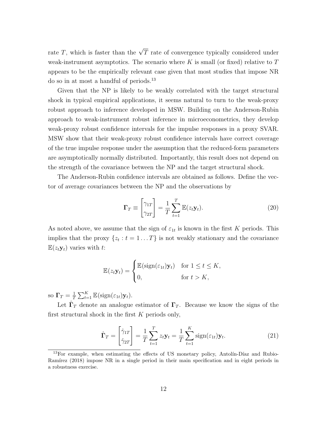rate T, which is faster than the  $\sqrt{T}$  rate of convergence typically considered under weak-instrument asymptotics. The scenario where K is small (or fixed) relative to  $T$ appears to be the empirically relevant case given that most studies that impose NR do so in at most a handful of periods.[13](#page-1-0)

Given that the NP is likely to be weakly correlated with the target structural shock in typical empirical applications, it seems natural to turn to the weak-proxy robust approach to inference developed in MSW. Building on the Anderson-Rubin approach to weak-instrument robust inference in microeconometrics, they develop weak-proxy robust confidence intervals for the impulse responses in a proxy SVAR. MSW show that their weak-proxy robust confidence intervals have correct coverage of the true impulse response under the assumption that the reduced-form parameters are asymptotically normally distributed. Importantly, this result does not depend on the strength of the covariance between the NP and the target structural shock.

The Anderson-Rubin confidence intervals are obtained as follows. Define the vector of average covariances between the NP and the observations by

<span id="page-12-0"></span>
$$
\Gamma_T \equiv \begin{bmatrix} \gamma_{1T} \\ \gamma_{2T} \end{bmatrix} = \frac{1}{T} \sum_{t=1}^T \mathbb{E}(z_t \mathbf{y}_t).
$$
 (20)

As noted above, we assume that the sign of  $\varepsilon_{1t}$  is known in the first K periods. This implies that the proxy  $\{z_t : t = 1...T\}$  is not weakly stationary and the covariance  $\mathbb{E}(z_t \mathbf{y}_t)$  varies with t:

$$
\mathbb{E}(z_t \mathbf{y}_t) = \begin{cases} \mathbb{E}(\text{sign}(\varepsilon_{1t}) \mathbf{y}_t) & \text{for } 1 \le t \le K, \\ 0, & \text{for } t > K, \end{cases}
$$

so  $\Gamma_T = \frac{1}{7}$  $\frac{1}{T} \sum_{t=1}^{K} \mathbb{E}(\text{sign}(\varepsilon_{1t}) \mathbf{y}_t).$ 

Let  $\hat{\Gamma}_T$  denote an analogue estimator of  $\Gamma_T$ . Because we know the signs of the first structural shock in the first  $K$  periods only,

$$
\hat{\mathbf{\Gamma}}_T = \begin{bmatrix} \hat{\gamma}_{1T} \\ \hat{\gamma}_{2T} \end{bmatrix} = \frac{1}{T} \sum_{t=1}^T z_t \mathbf{y}_t = \frac{1}{T} \sum_{t=1}^K \text{sign}(\varepsilon_{1t}) \mathbf{y}_t.
$$
\n(21)

 $13$ For example, when estimating the effects of US monetary policy, Antolín-Díaz and Rubio-Ramírez [\(2018\)](#page-25-0) impose NR in a single period in their main specification and in eight periods in a robustness exercise.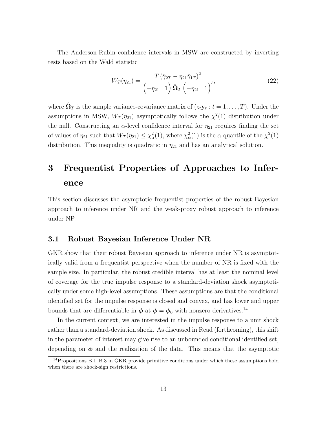The Anderson-Rubin confidence intervals in MSW are constructed by inverting tests based on the Wald statistic

<span id="page-13-1"></span>
$$
W_T(\eta_{21}) = \frac{T(\hat{\gamma}_{2T} - \eta_{21}\hat{\gamma}_{1T})^2}{(-\eta_{21} - 1)\hat{\Omega}_T(-\eta_{21} - 1)},
$$
\n(22)

where  $\hat{\Omega}_T$  is the sample variance-covariance matrix of  $(z_t \mathbf{y}_t : t = 1, \dots, T)$ . Under the assumptions in MSW,  $W_T(\eta_{21})$  asymptotically follows the  $\chi^2(1)$  distribution under the null. Constructing an  $\alpha$ -level confidence interval for  $\eta_{21}$  requires finding the set of values of  $\eta_{21}$  such that  $W_T(\eta_{21}) \leq \chi^2_\alpha(1)$ , where  $\chi^2_\alpha(1)$  is the  $\alpha$  quantile of the  $\chi^2(1)$ distribution. This inequality is quadratic in  $\eta_{21}$  and has an analytical solution.

## <span id="page-13-0"></span>3 Frequentist Properties of Approaches to Inference

This section discusses the asymptotic frequentist properties of the robust Bayesian approach to inference under NR and the weak-proxy robust approach to inference under NP.

#### <span id="page-13-2"></span>3.1 Robust Bayesian Inference Under NR

GKR show that their robust Bayesian approach to inference under NR is asymptotically valid from a frequentist perspective when the number of NR is fixed with the sample size. In particular, the robust credible interval has at least the nominal level of coverage for the true impulse response to a standard-deviation shock asymptotically under some high-level assumptions. These assumptions are that the conditional identified set for the impulse response is closed and convex, and has lower and upper bounds that are differentiable in  $\phi$  at  $\phi = \phi_0$  with nonzero derivatives.<sup>[14](#page-1-0)</sup>

In the current context, we are interested in the impulse response to a unit shock rather than a standard-deviation shock. As discussed in [Read](#page-27-8) [\(forthcoming\)](#page-27-8), this shift in the parameter of interest may give rise to an unbounded conditional identified set, depending on  $\phi$  and the realization of the data. This means that the asymptotic

<sup>14</sup>Propositions B.1–B.3 in GKR provide primitive conditions under which these assumptions hold when there are shock-sign restrictions.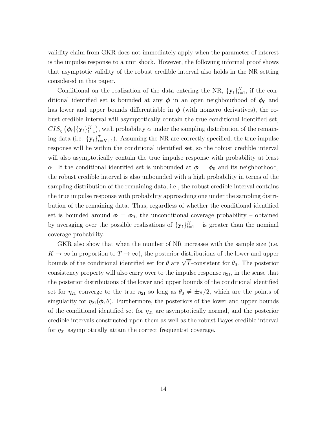validity claim from GKR does not immediately apply when the parameter of interest is the impulse response to a unit shock. However, the following informal proof shows that asymptotic validity of the robust credible interval also holds in the NR setting considered in this paper.

Conditional on the realization of the data entering the NR,  $\{y_t\}_{t=1}^K$ , if the conditional identified set is bounded at any  $\phi$  in an open neighbourhood of  $\phi_0$  and has lower and upper bounds differentiable in  $\phi$  (with nonzero derivatives), the robust credible interval will asymptotically contain the true conditional identified set,  $CIS_{\eta}(\phi_0|\{\mathbf{y}_t\}_{t=1}^K)$ , with probability  $\alpha$  under the sampling distribution of the remaining data (i.e.  $\{y_t\}_{t=K+1}^T$ ). Assuming the NR are correctly specified, the true impulse response will lie within the conditional identified set, so the robust credible interval will also asymptotically contain the true impulse response with probability at least α. If the conditional identified set is unbounded at  $\phi = \phi_0$  and its neighborhood, the robust credible interval is also unbounded with a high probability in terms of the sampling distribution of the remaining data, i.e., the robust credible interval contains the true impulse response with probability approaching one under the sampling distribution of the remaining data. Thus, regardless of whether the conditional identified set is bounded around  $\phi = \phi_0$ , the unconditional coverage probability – obtained by averaging over the possible realisations of  $\{y_t\}_{t=1}^K$  – is greater than the nominal coverage probability.

GKR also show that when the number of NR increases with the sample size (i.e.  $K \to \infty$  in proportion to  $T \to \infty$ ), the posterior distributions of the lower and upper bounds of the conditional identified set for  $\theta$  are  $\sqrt{T}$ -consistent for  $\theta_0$ . The posterior consistency property will also carry over to the impulse response  $\eta_{21}$ , in the sense that the posterior distributions of the lower and upper bounds of the conditional identified set for  $\eta_{21}$  converge to the true  $\eta_{21}$  so long as  $\theta_0 \neq \pm \pi/2$ , which are the points of singularity for  $\eta_{21}(\phi, \theta)$ . Furthermore, the posteriors of the lower and upper bounds of the conditional identified set for  $\eta_{21}$  are asymptotically normal, and the posterior credible intervals constructed upon them as well as the robust Bayes credible interval for  $\eta_{21}$  asymptotically attain the correct frequentist coverage.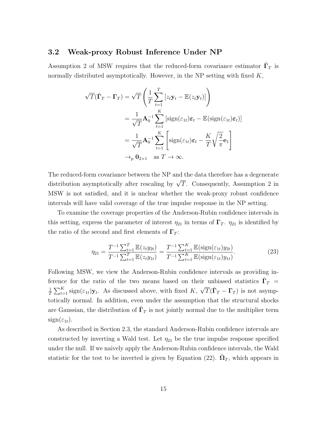#### 3.2 Weak-proxy Robust Inference Under NP

Assumption 2 of MSW requires that the reduced-form covariance estimator  $\hat{\Gamma}_T$  is normally distributed asymptotically. However, in the NP setting with fixed  $K$ ,

$$
\sqrt{T}(\hat{\mathbf{\Gamma}}_T - \mathbf{\Gamma}_T) = \sqrt{T} \left( \frac{1}{T} \sum_{t=1}^T \left[ z_t \mathbf{y}_t - \mathbb{E}(z_t \mathbf{y}_t) \right] \right)
$$
  
=  $\frac{1}{\sqrt{T}} \mathbf{A}_0^{-1} \sum_{t=1}^K \left[ \text{sign}(\varepsilon_{1t}) \boldsymbol{\varepsilon}_t - \mathbb{E}(\text{sign}(\varepsilon_{1t}) \boldsymbol{\varepsilon}_t) \right]$   
=  $\frac{1}{\sqrt{T}} \mathbf{A}_0^{-1} \sum_{t=1}^K \left[ \text{sign}(\varepsilon_{1t}) \boldsymbol{\varepsilon}_t - \frac{K}{T} \sqrt{\frac{2}{\pi}} \mathbf{e}_1 \right]$   
 $\rightarrow_p \mathbf{0}_{2 \times 1} \text{ as } T \rightarrow \infty.$ 

The reduced-form covariance between the NP and the data therefore has a degenerate distribution asymptotically after rescaling by  $\sqrt{T}$ . Consequently, Assumption 2 in MSW is not satisfied, and it is unclear whether the weak-proxy robust confidence intervals will have valid coverage of the true impulse response in the NP setting.

To examine the coverage properties of the Anderson-Rubin confidence intervals in this setting, express the parameter of interest  $\eta_{21}$  in terms of  $\Gamma_T$ .  $\eta_{21}$  is identified by the ratio of the second and first elements of  $\Gamma_T$ :

$$
\eta_{21} = \frac{T^{-1} \sum_{t=1}^{T} \mathbb{E}(z_t y_{2t})}{T^{-1} \sum_{t=1}^{T} \mathbb{E}(z_t y_{1t})} = \frac{T^{-1} \sum_{t=1}^{K} \mathbb{E}(\text{sign}(\varepsilon_{1t}) y_{2t})}{T^{-1} \sum_{t=1}^{K} \mathbb{E}(\text{sign}(\varepsilon_{1t}) y_{1t})}.
$$
(23)

Following MSW, we view the Anderson-Rubin confidence intervals as providing inference for the ratio of the two means based on their unbiased statistics  $\hat{\Gamma}_T$  = 1  $\frac{1}{T} \sum_{t=1}^{K} \text{sign}(\varepsilon_{1t}) \mathbf{y}_t$ . As discussed above, with fixed K,  $\sqrt{T}(\hat{\Gamma}_T - \Gamma_T)$  is not asymptotically normal. In addition, even under the assumption that the structural shocks are Gaussian, the distribution of  $\hat{\Gamma}_T$  is not jointly normal due to the multiplier term  $sign(\varepsilon_{1t}).$ 

As described in Section [2.3,](#page-10-1) the standard Anderson-Rubin confidence intervals are constructed by inverting a Wald test. Let  $\eta_{21}$  be the true impulse response specified under the null. If we naively apply the Anderson-Rubin confidence intervals, the Wald statistic for the test to be inverted is given by Equation [\(22\)](#page-13-1).  $\hat{\Omega}_T$ , which appears in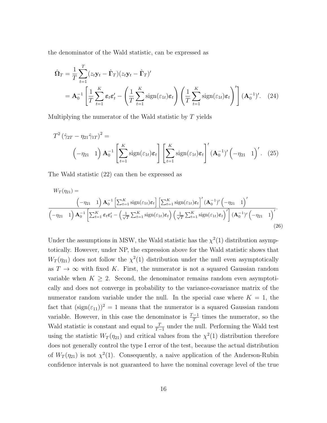the denominator of the Wald statistic, can be expressed as

<span id="page-16-1"></span>
$$
\hat{\mathbf{\Omega}}_T = \frac{1}{T} \sum_{t=1}^T (z_t \mathbf{y}_t - \hat{\mathbf{\Gamma}}_T)(z_t \mathbf{y}_t - \hat{\mathbf{\Gamma}}_T)'
$$
\n
$$
= \mathbf{A}_0^{-1} \left[ \frac{1}{T} \sum_{t=1}^K \varepsilon_t \varepsilon_t' - \left( \frac{1}{T} \sum_{t=1}^K \text{sign}(\varepsilon_{1t}) \varepsilon_t \right) \left( \frac{1}{T} \sum_{t=1}^K \text{sign}(\varepsilon_{1t}) \varepsilon_t \right)' \right] (\mathbf{A}_0^{-1})'. \quad (24)
$$

Multiplying the numerator of the Wald statistic by T yields

<span id="page-16-0"></span>
$$
T^{2}(\hat{\gamma}_{2T} - \eta_{21}\hat{\gamma}_{1T})^{2} =
$$
\n
$$
(-\eta_{21} 1) \mathbf{A}_{0}^{-1} \left[ \sum_{t=1}^{K} \text{sign}(\varepsilon_{1t}) \boldsymbol{\varepsilon}_{t} \right] \left[ \sum_{t=1}^{K} \text{sign}(\varepsilon_{1t}) \boldsymbol{\varepsilon}_{t} \right]' (\mathbf{A}_{0}^{-1})' (-\eta_{21} 1)'.
$$
\n(25)

The Wald statistic [\(22\)](#page-13-1) can then be expressed as

$$
W_T(\eta_{21}) = \left(-\eta_{21} - 1\right) \mathbf{A}_0^{-1} \left[\sum_{t=1}^K \text{sign}(\varepsilon_{1t}) \mathbf{\varepsilon}_t\right] \left[\sum_{t=1}^K \text{sign}(\varepsilon_{1t}) \mathbf{\varepsilon}_t\right]' (\mathbf{A}_0^{-1})' \left(-\eta_{21} - 1\right)'
$$
  

$$
\left(-\eta_{21} - 1\right) \mathbf{A}_0^{-1} \left[\sum_{t=1}^K \varepsilon_t \mathbf{\varepsilon}'_t - \left(\frac{1}{\sqrt{T}} \sum_{t=1}^K \text{sign}(\varepsilon_{1t}) \mathbf{\varepsilon}_t\right) \left(\frac{1}{\sqrt{T}} \sum_{t=1}^K \text{sign}(\varepsilon_{1t}) \mathbf{\varepsilon}_t\right)'\right] (\mathbf{A}_0^{-1})' \left(-\eta_{21} - 1\right)'
$$
\n(26)

<span id="page-16-2"></span>Under the assumptions in MSW, the Wald statistic has the  $\chi^2(1)$  distribution asymptotically. However, under NP, the expression above for the Wald statistic shows that  $W_T(\eta_{21})$  does not follow the  $\chi^2(1)$  distribution under the null even asymptotically as  $T \to \infty$  with fixed K. First, the numerator is not a squared Gaussian random variable when  $K \geq 2$ . Second, the denominator remains random even asymptotically and does not converge in probability to the variance-covariance matrix of the numerator random variable under the null. In the special case where  $K = 1$ , the fact that  $(\text{sign}(\varepsilon_{11}))^2 = 1$  means that the numerator is a squared Gaussian random variable. However, in this case the denominator is  $\frac{T-1}{T}$  times the numerator, so the Wald statistic is constant and equal to  $\frac{T}{T-1}$  under the null. Performing the Wald test using the statistic  $W_T(\eta_{21})$  and critical values from the  $\chi^2(1)$  distribution therefore does not generally control the type I error of the test, because the actual distribution of  $W_T(\eta_{21})$  is not  $\chi^2(1)$ . Consequently, a naive application of the Anderson-Rubin confidence intervals is not guaranteed to have the nominal coverage level of the true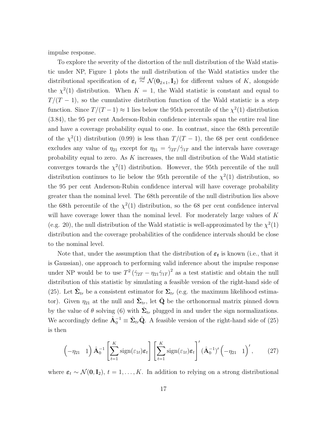impulse response.

To explore the severity of the distortion of the null distribution of the Wald statistic under NP, Figure [1](#page-18-0) plots the null distribution of the Wald statistics under the distributional specification of  $\varepsilon_t \stackrel{iid}{\sim} \mathcal{N}(\mathbf{0}_{2\times1}, \mathbf{I}_2)$  for different values of K, alongside the  $\chi^2(1)$  distribution. When  $K = 1$ , the Wald statistic is constant and equal to  $T/(T-1)$ , so the cumulative distribution function of the Wald statistic is a step function. Since  $T/(T-1) \approx 1$  lies below the 95th percentile of the  $\chi^2(1)$  distribution (3.84), the 95 per cent Anderson-Rubin confidence intervals span the entire real line and have a coverage probability equal to one. In contrast, since the 68th percentile of the  $\chi^2(1)$  distribution (0.99) is less than  $T/(T-1)$ , the 68 per cent confidence excludes any value of  $\eta_{21}$  except for  $\eta_{21} = \hat{\gamma}_{2T}/\hat{\gamma}_{1T}$  and the intervals have coverage probability equal to zero. As  $K$  increases, the null distribution of the Wald statistic converges towards the  $\chi^2(1)$  distribution. However, the 95th percentile of the null distribution continues to lie below the 95th percentile of the  $\chi^2(1)$  distribution, so the 95 per cent Anderson-Rubin confidence interval will have coverage probability greater than the nominal level. The 68th percentile of the null distribution lies above the 68th percentile of the  $\chi^2(1)$  distribution, so the 68 per cent confidence interval will have coverage lower than the nominal level. For moderately large values of  $K$ (e.g. 20), the null distribution of the Wald statistic is well-approximated by the  $\chi^2(1)$ distribution and the coverage probabilities of the confidence intervals should be close to the nominal level.

Note that, under the assumption that the distribution of  $\varepsilon_t$  is known (i.e., that it is Gaussian), one approach to performing valid inference about the impulse response under NP would be to use  $T^2(\hat{\gamma}_{2T} - \eta_{21}\hat{\gamma}_{1T})^2$  as a test statistic and obtain the null distribution of this statistic by simulating a feasible version of the right-hand side of [\(25\)](#page-16-0). Let  $\hat{\Sigma}_{tr}$  be a consistent estimator for  $\Sigma_{tr}$  (e.g. the maximum likelihood estimator). Given  $\eta_{21}$  at the null and  $\hat{\Sigma}_{tr}$ , let  $\hat{\mathbf{Q}}$  be the orthonormal matrix pinned down by the value of  $\theta$  solving [\(6\)](#page-7-0) with  $\hat{\Sigma}_{tr}$  plugged in and under the sign normalizations. We accordingly define  $\hat{\mathbf{A}}_0^{-1} \equiv \hat{\Sigma}_{tr} \hat{\mathbf{Q}}$ . A feasible version of the right-hand side of [\(25\)](#page-16-0) is then

$$
\left(-\eta_{21} \quad 1\right) \hat{\mathbf{A}}_0^{-1} \left[\sum_{t=1}^K \text{sign}(\varepsilon_{1t}) \boldsymbol{\varepsilon}_t\right] \left[\sum_{t=1}^K \text{sign}(\varepsilon_{1t}) \boldsymbol{\varepsilon}_t\right]' (\hat{\mathbf{A}}_0^{-1})' \left(-\eta_{21} \quad 1\right)',\tag{27}
$$

where  $\varepsilon_t \sim \mathcal{N}(\mathbf{0}, \mathbf{I}_2)$ ,  $t = 1, \ldots, K$ . In addition to relying on a strong distributional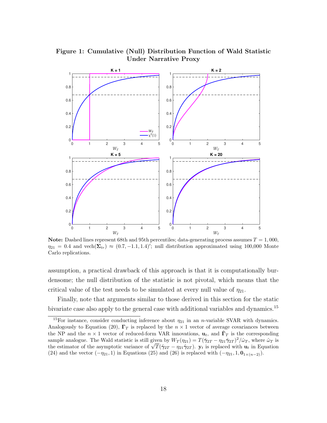

#### <span id="page-18-0"></span>Figure 1: Cumulative (Null) Distribution Function of Wald Statistic Under Narrative Proxy

**Note:** Dashed lines represent 68th and 95th percentiles; data-generating process assumes  $T = 1,000$ ,  $\eta_{21} = 0.4$  and vech $(\Sigma_{tr}) \approx (0.7, -1.1, 1.4)$ ; null distribution approximated using 100,000 Monte Carlo replications.

assumption, a practical drawback of this approach is that it is computationally burdensome; the null distribution of the statistic is not pivotal, which means that the critical value of the test needs to be simulated at every null value of  $\eta_{21}$ .

Finally, note that arguments similar to those derived in this section for the static bivariate case also apply to the general case with additional variables and dynamics.<sup>[15](#page-1-0)</sup>

<sup>&</sup>lt;sup>15</sup>For instance, consider conducting inference about  $\eta_{21}$  in an *n*-variable SVAR with dynamics. Analogously to Equation [\(20\)](#page-12-0),  $\Gamma_T$  is replaced by the  $n \times 1$  vector of average covariances between the NP and the  $n \times 1$  vector of reduced-form VAR innovations,  $\mathbf{u}_t$ , and  $\hat{\mathbf{\Gamma}}_T$  is the corresponding sample analogue. The Wald statistic is still given by  $W_T(\eta_{21}) = T(\hat{\gamma}_{2T} - \eta_{21}\hat{\gamma}_{2T})^2/\hat{\omega}_T$ , where  $\hat{\omega}_T$  is sample analogue. The wald statistic is still given by  $W_T(\eta_{21}) = I(\gamma_{2T} - \eta_{21}\gamma_{2T})^2/\omega_T$ , where  $\omega_T$  is the estimator of the asymptotic variance of  $\sqrt{T}(\hat{\gamma}_{2T} - \eta_{21}\hat{\gamma}_{2T})$ .  $\mathbf{y}_t$  is replaced with  $\mathbf{u}_t$  in E [\(24\)](#page-16-1) and the vector  $(-\eta_{21}, 1)$  in Equations [\(25\)](#page-16-0) and [\(26\)](#page-16-2) is replaced with  $(-\eta_{21}, 1, \mathbf{0}_{1\times(n-2)})$ .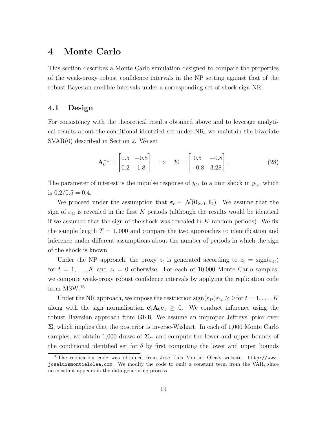### <span id="page-19-0"></span>4 Monte Carlo

This section describes a Monte Carlo simulation designed to compare the properties of the weak-proxy robust confidence intervals in the NP setting against that of the robust Bayesian credible intervals under a corresponding set of shock-sign NR.

#### 4.1 Design

For consistency with the theoretical results obtained above and to leverage analytical results about the conditional identified set under NR, we maintain the bivariate SVAR(0) described in Section 2. We set

$$
\mathbf{A}_0^{-1} = \begin{bmatrix} 0.5 & -0.5 \\ 0.2 & 1.8 \end{bmatrix} \Rightarrow \mathbf{\Sigma} = \begin{bmatrix} 0.5 & -0.8 \\ -0.8 & 3.28 \end{bmatrix}.
$$
 (28)

The parameter of interest is the impulse response of  $y_{2t}$  to a unit shock in  $y_{1t}$ , which is  $0.2/0.5 = 0.4$ .

We proceed under the assumption that  $\varepsilon_t \sim \mathcal{N}(\mathbf{0}_{2\times1}, \mathbf{I}_2)$ . We assume that the sign of  $\varepsilon_{1t}$  is revealed in the first K periods (although the results would be identical if we assumed that the sign of the shock was revealed in  $K$  random periods). We fix the sample length  $T = 1,000$  and compare the two approaches to identification and inference under different assumptions about the number of periods in which the sign of the shock is known.

Under the NP approach, the proxy  $z_t$  is generated according to  $z_t = \text{sign}(\varepsilon_{1t})$ for  $t = 1, ..., K$  and  $z_t = 0$  otherwise. For each of 10,000 Monte Carlo samples, we compute weak-proxy robust confidence intervals by applying the replication code from MSW.[16](#page-1-0)

Under the NR approach, we impose the restriction  $sign(\varepsilon_{1t})\varepsilon_{1t} \geq 0$  for  $t = 1, ..., K$ along with the sign normalisation  $\mathbf{e}'_1 \mathbf{A}_0 \mathbf{e}_1 \geq 0$ . We conduct inference using the robust Bayesian approach from GKR. We assume an improper Jeffreys' prior over  $\Sigma$ , which implies that the posterior is inverse-Wishart. In each of 1,000 Monte Carlo samples, we obtain 1,000 draws of  $\Sigma_{tr}$  and compute the lower and upper bounds of the conditional identified set for  $\theta$  by first computing the lower and upper bounds

<sup>&</sup>lt;sup>16</sup>The replication code was obtained from José Luis Montiel Olea's website:  $http://www.$ [joseluismontielolea.com](http://www.joseluismontielolea.com). We modify the code to omit a constant term from the VAR, since no constant appears in the data-generating process.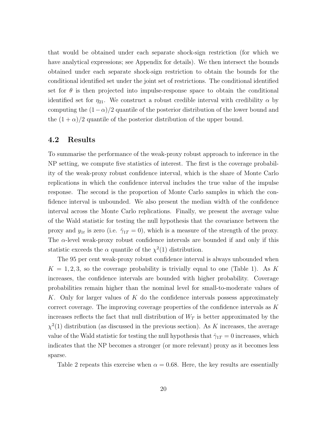that would be obtained under each separate shock-sign restriction (for which we have analytical expressions; see Appendix for details). We then intersect the bounds obtained under each separate shock-sign restriction to obtain the bounds for the conditional identified set under the joint set of restrictions. The conditional identified set for  $\theta$  is then projected into impulse-response space to obtain the conditional identified set for  $\eta_{21}$ . We construct a robust credible interval with credibility  $\alpha$  by computing the  $(1-\alpha)/2$  quantile of the posterior distribution of the lower bound and the  $(1 + \alpha)/2$  quantile of the posterior distribution of the upper bound.

#### 4.2 Results

To summarise the performance of the weak-proxy robust approach to inference in the NP setting, we compute five statistics of interest. The first is the coverage probability of the weak-proxy robust confidence interval, which is the share of Monte Carlo replications in which the confidence interval includes the true value of the impulse response. The second is the proportion of Monte Carlo samples in which the confidence interval is unbounded. We also present the median width of the confidence interval across the Monte Carlo replications. Finally, we present the average value of the Wald statistic for testing the null hypothesis that the covariance between the proxy and  $y_{1t}$  is zero (i.e.  $\hat{\gamma}_{1T} = 0$ ), which is a measure of the strength of the proxy. The  $\alpha$ -level weak-proxy robust confidence intervals are bounded if and only if this statistic exceeds the  $\alpha$  quantile of the  $\chi^2(1)$  distribution.

The 95 per cent weak-proxy robust confidence interval is always unbounded when  $K = 1, 2, 3$ , so the coverage probability is trivially equal to one (Table [1\)](#page-21-0). As K increases, the confidence intervals are bounded with higher probability. Coverage probabilities remain higher than the nominal level for small-to-moderate values of K. Only for larger values of K do the confidence intervals possess approximately correct coverage. The improving coverage properties of the confidence intervals as K increases reflects the fact that null distribution of  $W_T$  is better approximated by the  $\chi^2(1)$  distribution (as discussed in the previous section). As K increases, the average value of the Wald statistic for testing the null hypothesis that  $\hat{\gamma}_{1T} = 0$  increases, which indicates that the NP becomes a stronger (or more relevant) proxy as it becomes less sparse.

Table [2](#page-22-0) repeats this exercise when  $\alpha = 0.68$ . Here, the key results are essentially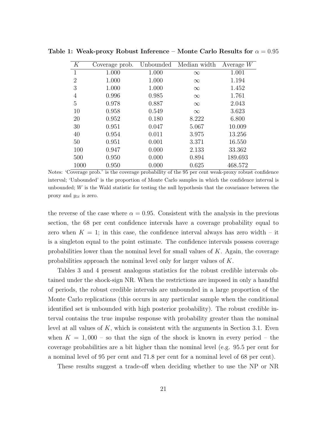| K              | Coverage prob. | Unbounded | Median width | Average $W$ |
|----------------|----------------|-----------|--------------|-------------|
| $\mathbf{1}$   | 1.000          | 1.000     | $\infty$     | 1.001       |
| $\overline{2}$ | 1.000          | 1.000     | $\infty$     | 1.194       |
| 3              | 1.000          | 1.000     | $\infty$     | 1.452       |
| 4              | 0.996          | 0.985     | $\infty$     | 1.761       |
| 5              | 0.978          | 0.887     | $\infty$     | 2.043       |
| 10             | 0.958          | 0.549     | $\infty$     | 3.623       |
| <b>20</b>      | 0.952          | 0.180     | 8.222        | 6.800       |
| 30             | 0.951          | 0.047     | 5.067        | 10.009      |
| 40             | 0.954          | 0.011     | 3.975        | 13.256      |
| 50             | 0.951          | 0.001     | 3.371        | 16.550      |
| 100            | 0.947          | 0.000     | 2.133        | 33.362      |
| 500            | 0.950          | 0.000     | 0.894        | 189.693     |
| 1000           | 0.950          | 0.000     | 0.625        | 468.572     |

<span id="page-21-0"></span>Table 1: Weak-proxy Robust Inference – Monte Carlo Results for  $\alpha = 0.95$ 

Notes: 'Coverage prob.' is the coverage probability of the 95 per cent weak-proxy robust confidence interval; 'Unbounded' is the proportion of Monte Carlo samples in which the confidence interval is unbounded; W is the Wald statistic for testing the null hypothesis that the covariance between the proxy and  $y_{1t}$  is zero.

the reverse of the case where  $\alpha = 0.95$ . Consistent with the analysis in the previous section, the 68 per cent confidence intervals have a coverage probability equal to zero when  $K = 1$ ; in this case, the confidence interval always has zero width – it is a singleton equal to the point estimate. The confidence intervals possess coverage probabilities lower than the nominal level for small values of  $K$ . Again, the coverage probabilities approach the nominal level only for larger values of K.

Tables [3](#page-23-1) and [4](#page-24-0) present analogous statistics for the robust credible intervals obtained under the shock-sign NR. When the restrictions are imposed in only a handful of periods, the robust credible intervals are unbounded in a large proportion of the Monte Carlo replications (this occurs in any particular sample when the conditional identified set is unbounded with high posterior probability). The robust credible interval contains the true impulse response with probability greater than the nominal level at all values of  $K$ , which is consistent with the arguments in Section [3.1.](#page-13-2) Even when  $K = 1,000$  – so that the sign of the shock is known in every period – the coverage probabilities are a bit higher than the nominal level (e.g. 95.5 per cent for a nominal level of 95 per cent and 71.8 per cent for a nominal level of 68 per cent).

These results suggest a trade-off when deciding whether to use the NP or NR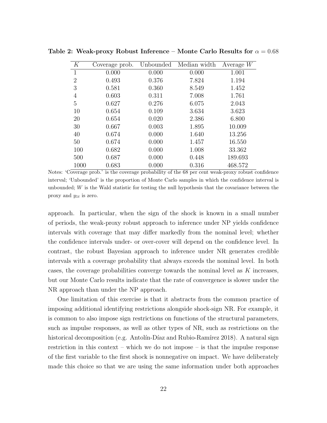| К              | Coverage prob. | Unbounded | Median width | Average $W$ |
|----------------|----------------|-----------|--------------|-------------|
| $\mathbf{1}$   | 0.000          | 0.000     | 0.000        | 1.001       |
| $\overline{2}$ | 0.493          | 0.376     | 7.824        | 1.194       |
| 3              | 0.581          | 0.360     | 8.549        | 1.452       |
| 4              | 0.603          | 0.311     | 7.008        | 1.761       |
| $\overline{5}$ | 0.627          | 0.276     | 6.075        | 2.043       |
| 10             | 0.654          | 0.109     | 3.634        | 3.623       |
| 20             | 0.654          | 0.020     | 2.386        | 6.800       |
| 30             | 0.667          | 0.003     | 1.895        | 10.009      |
| 40             | 0.674          | 0.000     | 1.640        | 13.256      |
| 50             | 0.674          | 0.000     | 1.457        | 16.550      |
| 100            | 0.682          | 0.000     | 1.008        | 33.362      |
| 500            | 0.687          | 0.000     | 0.448        | 189.693     |
| 1000           | 0.683          | 0.000     | 0.316        | 468.572     |

<span id="page-22-0"></span>Table 2: Weak-proxy Robust Inference – Monte Carlo Results for  $\alpha = 0.68$ 

Notes: 'Coverage prob.' is the coverage probability of the 68 per cent weak-proxy robust confidence interval; 'Unbounded' is the proportion of Monte Carlo samples in which the confidence interval is unbounded; W is the Wald statistic for testing the null hypothesis that the covariance between the proxy and  $y_{1t}$  is zero.

approach. In particular, when the sign of the shock is known in a small number of periods, the weak-proxy robust approach to inference under NP yields confidence intervals with coverage that may differ markedly from the nominal level; whether the confidence intervals under- or over-cover will depend on the confidence level. In contrast, the robust Bayesian approach to inference under NR generates credible intervals with a coverage probability that always exceeds the nominal level. In both cases, the coverage probabilities converge towards the nominal level as  $K$  increases, but our Monte Carlo results indicate that the rate of convergence is slower under the NR approach than under the NP approach.

One limitation of this exercise is that it abstracts from the common practice of imposing additional identifying restrictions alongside shock-sign NR. For example, it is common to also impose sign restrictions on functions of the structural parameters, such as impulse responses, as well as other types of NR, such as restrictions on the historical decomposition (e.g. Antolín-Díaz and Rubio-Ramírez 2018). A natural sign restriction in this context – which we do not impose – is that the impulse response of the first variable to the first shock is nonnegative on impact. We have deliberately made this choice so that we are using the same information under both approaches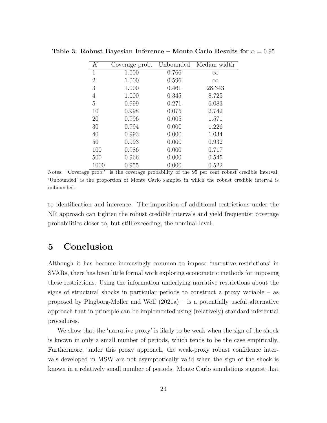| К              | Coverage prob. | Unbounded | Median width |
|----------------|----------------|-----------|--------------|
| 1              | 1.000          | 0.766     | $\infty$     |
| $\overline{2}$ | 1.000          | 0.596     | $\infty$     |
| 3              | 1.000          | 0.461     | 28.343       |
| 4              | 1.000          | 0.345     | 8.725        |
| 5              | 0.999          | 0.271     | 6.083        |
| 10             | 0.998          | 0.075     | 2.742        |
| 20             | 0.996          | 0.005     | 1.571        |
| 30             | 0.994          | 0.000     | 1.226        |
| 40             | 0.993          | 0.000     | 1.034        |
| 50             | 0.993          | 0.000     | 0.932        |
| 100            | 0.986          | 0.000     | 0.717        |
| 500            | 0.966          | 0.000     | 0.545        |
| 1000           | 0.955          | 0.000     | 0.522        |

<span id="page-23-1"></span>Table 3: Robust Bayesian Inference – Monte Carlo Results for  $\alpha = 0.95$ 

Notes: 'Coverage prob.' is the coverage probability of the 95 per cent robust credible interval; 'Unbounded' is the proportion of Monte Carlo samples in which the robust credible interval is unbounded.

to identification and inference. The imposition of additional restrictions under the NR approach can tighten the robust credible intervals and yield frequentist coverage probabilities closer to, but still exceeding, the nominal level.

### <span id="page-23-0"></span>5 Conclusion

Although it has become increasingly common to impose 'narrative restrictions' in SVARs, there has been little formal work exploring econometric methods for imposing these restrictions. Using the information underlying narrative restrictions about the signs of structural shocks in particular periods to construct a proxy variable – as proposed by [Plagborg-Møller and Wolf](#page-27-2) [\(2021a\)](#page-27-2) – is a potentially useful alternative approach that in principle can be implemented using (relatively) standard inferential procedures.

We show that the 'narrative proxy' is likely to be weak when the sign of the shock is known in only a small number of periods, which tends to be the case empirically. Furthermore, under this proxy approach, the weak-proxy robust confidence intervals developed in MSW are not asymptotically valid when the sign of the shock is known in a relatively small number of periods. Monte Carlo simulations suggest that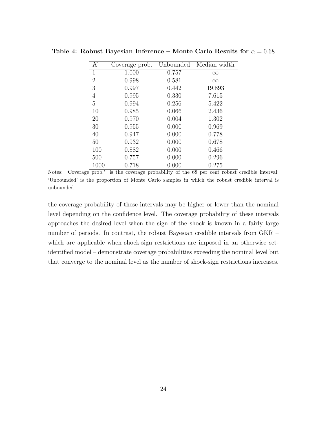| K              | Coverage prob. | Unbounded | Median width |
|----------------|----------------|-----------|--------------|
| $\mathbf{1}$   | 1.000          | 0.757     | $\infty$     |
| $\overline{2}$ | 0.998          | 0.581     | $\infty$     |
| 3              | 0.997          | 0.442     | 19.893       |
| 4              | 0.995          | 0.330     | 7.615        |
| $\overline{5}$ | 0.994          | 0.256     | 5.422        |
| 10             | 0.985          | 0.066     | 2.436        |
| 20             | 0.970          | 0.004     | 1.302        |
| 30             | 0.955          | 0.000     | 0.969        |
| 40             | 0.947          | 0.000     | 0.778        |
| 50             | 0.932          | 0.000     | 0.678        |
| 100            | 0.882          | 0.000     | 0.466        |
| 500            | 0.757          | 0.000     | 0.296        |
| 1000           | 0.718          | 0.000     | 0.275        |

<span id="page-24-0"></span>Table 4: Robust Bayesian Inference – Monte Carlo Results for  $\alpha = 0.68$ 

Notes: 'Coverage prob.' is the coverage probability of the 68 per cent robust credible interval; 'Unbounded' is the proportion of Monte Carlo samples in which the robust credible interval is unbounded.

the coverage probability of these intervals may be higher or lower than the nominal level depending on the confidence level. The coverage probability of these intervals approaches the desired level when the sign of the shock is known in a fairly large number of periods. In contrast, the robust Bayesian credible intervals from GKR – which are applicable when shock-sign restrictions are imposed in an otherwise setidentified model – demonstrate coverage probabilities exceeding the nominal level but that converge to the nominal level as the number of shock-sign restrictions increases.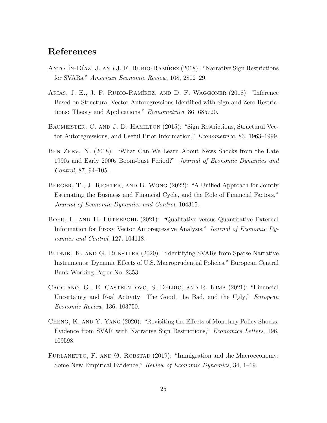### References

- <span id="page-25-0"></span>ANTOLÍN-DÍAZ, J. AND J. F. RUBIO-RAMÍREZ (2018): "Narrative Sign Restrictions for SVARs," American Economic Review, 108, 2802–29.
- <span id="page-25-6"></span>ARIAS, J. E., J. F. RUBIO-RAMÍREZ, AND D. F. WAGGONER (2018): "Inference Based on Structural Vector Autoregressions Identified with Sign and Zero Restrictions: Theory and Applications," Econometrica, 86, 685720.
- <span id="page-25-7"></span>Baumeister, C. and J. D. Hamilton (2015): "Sign Restrictions, Structural Vector Autoregressions, and Useful Prior Information," Econometrica, 83, 1963–1999.
- <span id="page-25-1"></span>BEN ZEEV, N. (2018): "What Can We Learn About News Shocks from the Late 1990s and Early 2000s Boom-bust Period?" Journal of Economic Dynamics and Control, 87, 94–105.
- <span id="page-25-5"></span>BERGER, T., J. RICHTER, AND B. WONG (2022): "A Unified Approach for Jointly Estimating the Business and Financial Cycle, and the Role of Financial Factors," Journal of Economic Dynamics and Control, 104315.
- <span id="page-25-8"></span>BOER, L. AND H. LÜTKEPOHL (2021): "Qualitative versus Quantitative External Information for Proxy Vector Autoregressive Analysis," Journal of Economic Dynamics and Control, 127, 104118.
- <span id="page-25-9"></span>BUDNIK, K. AND G. RÜNSTLER (2020): "Identifying SVARs from Sparse Narrative Instruments: Dynamic Effects of U.S. Macroprudential Policies," European Central Bank Working Paper No. 2353.
- <span id="page-25-4"></span>Caggiano, G., E. Castelnuovo, S. Delrio, and R. Kima (2021): "Financial Uncertainty and Real Activity: The Good, the Bad, and the Ugly," *European* Economic Review, 136, 103750.
- <span id="page-25-3"></span>Cheng, K. and Y. Yang (2020): "Revisiting the Effects of Monetary Policy Shocks: Evidence from SVAR with Narrative Sign Restrictions," Economics Letters, 196, 109598.
- <span id="page-25-2"></span>FURLANETTO, F. AND  $\emptyset$ . ROBSTAD (2019): "Immigration and the Macroeconomy: Some New Empirical Evidence," Review of Economic Dynamics, 34, 1–19.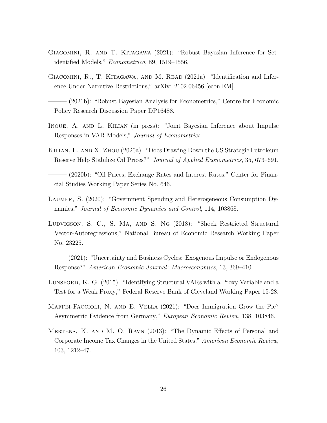- <span id="page-26-5"></span>Giacomini, R. and T. Kitagawa (2021): "Robust Bayesian Inference for Setidentified Models," Econometrica, 89, 1519–1556.
- <span id="page-26-0"></span>GIACOMINI, R., T. KITAGAWA, AND M. READ (2021a): "Identification and Inference Under Narrative Restrictions," arXiv: 2102.06456 [econ.EM].
- <span id="page-26-6"></span>——— (2021b): "Robust Bayesian Analysis for Econometrics," Centre for Economic Policy Research Discussion Paper DP16488.
- <span id="page-26-4"></span>Inoue, A. and L. Kilian (in press): "Joint Bayesian Inference about Impulse Responses in VAR Models," Journal of Econometrics.
- Kilian, L. and X. Zhou (2020a): "Does Drawing Down the US Strategic Petroleum Reserve Help Stabilize Oil Prices?" Journal of Applied Econometrics, 35, 673–691.
- ——— (2020b): "Oil Prices, Exchange Rates and Interest Rates," Center for Financial Studies Working Paper Series No. 646.
- <span id="page-26-2"></span>Laumer, S. (2020): "Government Spending and Heterogeneous Consumption Dynamics," Journal of Economic Dynamics and Control, 114, 103868.
- <span id="page-26-8"></span>Ludvigson, S. C., S. Ma, and S. Ng (2018): "Shock Restricted Structural Vector-Autoregressions," National Bureau of Economic Research Working Paper No. 23225.
- (2021): "Uncertainty and Business Cycles: Exogenous Impulse or Endogenous Response?" American Economic Journal: Macroeconomics, 13, 369–410.
- <span id="page-26-7"></span>Lunsford, K. G. (2015): "Identifying Structural VARs with a Proxy Variable and a Test for a Weak Proxy," Federal Reserve Bank of Cleveland Working Paper 15-28.
- <span id="page-26-3"></span>Maffei-Faccioli, N. and E. Vella (2021): "Does Immigration Grow the Pie? Asymmetric Evidence from Germany," European Economic Review, 138, 103846.
- <span id="page-26-1"></span>Mertens, K. and M. O. Ravn (2013): "The Dynamic Effects of Personal and Corporate Income Tax Changes in the United States," American Economic Review, 103, 1212–47.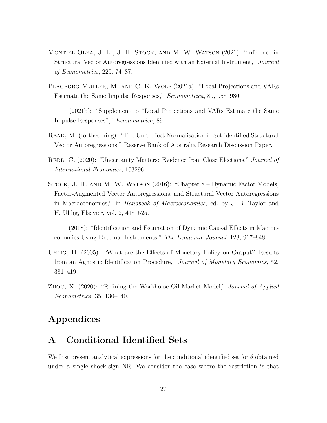- <span id="page-27-0"></span>MONTIEL-OLEA, J. L., J. H. STOCK, AND M. W. WATSON (2021): "Inference in Structural Vector Autoregressions Identified with an External Instrument," Journal of Econometrics, 225, 74–87.
- <span id="page-27-2"></span>Plagborg-Møller, M. and C. K. Wolf (2021a): "Local Projections and VARs Estimate the Same Impulse Responses," Econometrica, 89, 955–980.
- <span id="page-27-6"></span> $(2021b)$ : "Supplement to "Local Projections and VARs Estimate the Same Impulse Responses"," Econometrica, 89.
- <span id="page-27-8"></span>Read, M. (forthcoming): "The Unit-effect Normalisation in Set-identified Structural Vector Autoregressions," Reserve Bank of Australia Research Discussion Paper.
- <span id="page-27-4"></span>REDL, C. (2020): "Uncertainty Matters: Evidence from Close Elections," *Journal of* International Economics, 103296.
- Stock, J. H. and M. W. Watson (2016): "Chapter 8 Dynamic Factor Models, Factor-Augmented Vector Autoregressions, and Structural Vector Autoregressions in Macroeconomics," in Handbook of Macroeconomics, ed. by J. B. Taylor and H. Uhlig, Elsevier, vol. 2, 415–525.
- <span id="page-27-3"></span> $(2018)$ : "Identification and Estimation of Dynamic Causal Effects in Macroeconomics Using External Instruments," The Economic Journal, 128, 917–948.
- <span id="page-27-1"></span>Uhlig, H. (2005): "What are the Effects of Monetary Policy on Output? Results from an Agnostic Identification Procedure," Journal of Monetary Economics, 52, 381–419.
- <span id="page-27-5"></span>Zhou, X. (2020): "Refining the Workhorse Oil Market Model," Journal of Applied Econometrics, 35, 130–140.

### Appendices

### <span id="page-27-7"></span>A Conditional Identified Sets

We first present analytical expressions for the conditional identified set for  $\theta$  obtained under a single shock-sign NR. We consider the case where the restriction is that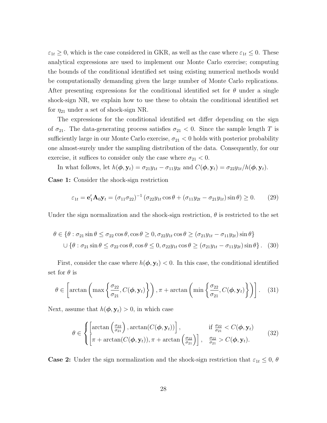$\varepsilon_{1t} \geq 0$ , which is the case considered in GKR, as well as the case where  $\varepsilon_{1t} \leq 0$ . These analytical expressions are used to implement our Monte Carlo exercise; computing the bounds of the conditional identified set using existing numerical methods would be computationally demanding given the large number of Monte Carlo replications. After presenting expressions for the conditional identified set for  $\theta$  under a single shock-sign NR, we explain how to use these to obtain the conditional identified set for  $\eta_{21}$  under a set of shock-sign NR.

The expressions for the conditional identified set differ depending on the sign of  $\sigma_{21}$ . The data-generating process satisfies  $\sigma_{21} < 0$ . Since the sample length T is sufficiently large in our Monte Carlo exercise,  $\sigma_{21}$  < 0 holds with posterior probability one almost-surely under the sampling distribution of the data. Consequently, for our exercise, it suffices to consider only the case where  $\sigma_{21} < 0$ .

In what follows, let  $h(\boldsymbol{\phi}, \mathbf{y}_t) = \sigma_{21}y_{1t} - \sigma_{11}y_{2t}$  and  $C(\boldsymbol{\phi}, \mathbf{y}_t) = \sigma_{22}y_{1t}/h(\boldsymbol{\phi}, \mathbf{y}_t)$ .

Case 1: Consider the shock-sign restriction

$$
\varepsilon_{1t} = \mathbf{e}'_1 \mathbf{A}_0 \mathbf{y}_t = (\sigma_{11} \sigma_{22})^{-1} (\sigma_{22} y_{1t} \cos \theta + (\sigma_{11} y_{2t} - \sigma_{21} y_{1t}) \sin \theta) \ge 0. \tag{29}
$$

Under the sign normalization and the shock-sign restriction,  $\theta$  is restricted to the set

$$
\theta \in \{\theta : \sigma_{21} \sin \theta \le \sigma_{22} \cos \theta, \cos \theta \ge 0, \sigma_{22} y_{1t} \cos \theta \ge (\sigma_{21} y_{1t} - \sigma_{11} y_{2t}) \sin \theta\}
$$
  

$$
\cup \{\theta : \sigma_{21} \sin \theta \le \sigma_{22} \cos \theta, \cos \theta \le 0, \sigma_{22} y_{1t} \cos \theta \ge (\sigma_{21} y_{1t} - \sigma_{11} y_{2t}) \sin \theta\}.
$$
 (30)

First, consider the case where  $h(\phi, \mathbf{y}_t) < 0$ . In this case, the conditional identified set for  $\theta$  is

$$
\theta \in \left[ \arctan \left( \max \left\{ \frac{\sigma_{22}}{\sigma_{21}}, C(\boldsymbol{\phi}, \mathbf{y}_t) \right\} \right), \pi + \arctan \left( \min \left\{ \frac{\sigma_{22}}{\sigma_{21}}, C(\boldsymbol{\phi}, \mathbf{y}_t) \right\} \right) \right]. \quad (31)
$$

Next, assume that  $h(\boldsymbol{\phi}, \mathbf{y}_t) > 0$ , in which case

$$
\theta \in \begin{cases} \left[ \arctan\left(\frac{\sigma_{22}}{\sigma_{21}}\right), \arctan(C(\boldsymbol{\phi}, \mathbf{y}_t)) \right], & \text{if } \frac{\sigma_{22}}{\sigma_{21}} < C(\boldsymbol{\phi}, \mathbf{y}_t) \\ \left[ \pi + \arctan(C(\boldsymbol{\phi}, \mathbf{y}_t)), \pi + \arctan\left(\frac{\sigma_{22}}{\sigma_{21}}\right) \right], & \frac{\sigma_{22}}{\sigma_{21}} > C(\boldsymbol{\phi}, \mathbf{y}_t). \end{cases} \tag{32}
$$

**Case 2:** Under the sign normalization and the shock-sign restriction that  $\varepsilon_{1t} \leq 0$ ,  $\theta$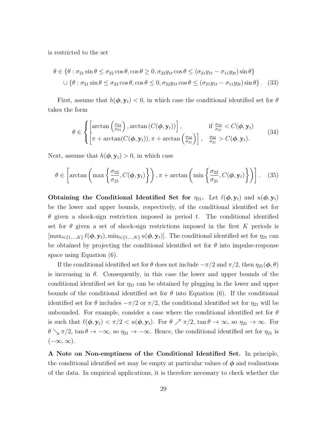is restricted to the set

$$
\theta \in \{\theta : \sigma_{21} \sin \theta \le \sigma_{22} \cos \theta, \cos \theta \ge 0, \sigma_{22} y_{1t} \cos \theta \le (\sigma_{21} y_{1t} - \sigma_{11} y_{2t}) \sin \theta\}
$$
  

$$
\cup \{\theta : \sigma_{21} \sin \theta \le \sigma_{22} \cos \theta, \cos \theta \le 0, \sigma_{22} y_{1t} \cos \theta \le (\sigma_{21} y_{1t} - \sigma_{11} y_{2t}) \sin \theta\}. (33)
$$

First, assume that  $h(\phi, y_t) < 0$ , in which case the conditional identified set for  $\theta$ takes the form

$$
\theta \in \begin{cases} \left[ \arctan\left(\frac{\sigma_{22}}{\sigma_{21}}\right), \arctan\left(C(\boldsymbol{\phi}, \mathbf{y}_t)\right) \right], & \text{if } \frac{\sigma_{22}}{\sigma_{21}} < C(\boldsymbol{\phi}, \mathbf{y}_t) \\ \left[ \pi + \arctan(C(\boldsymbol{\phi}, \mathbf{y}_t)), \pi + \arctan\left(\frac{\sigma_{22}}{\sigma_{21}}\right) \right], & \frac{\sigma_{22}}{\sigma_{21}} > C(\boldsymbol{\phi}, \mathbf{y}_t). \end{cases} \tag{34}
$$

Next, assume that  $h(\boldsymbol{\phi}, \mathbf{y}_t) > 0$ , in which case

$$
\theta \in \left[ \arctan \left( \max \left\{ \frac{\sigma_{22}}{\sigma_{21}}, C(\boldsymbol{\phi}, \mathbf{y}_t) \right\} \right), \pi + \arctan \left( \min \left\{ \frac{\sigma_{22}}{\sigma_{21}}, C(\boldsymbol{\phi}, \mathbf{y}_t) \right\} \right) \right].
$$
 (35)

Obtaining the Conditional Identified Set for  $\eta_{21}$ . Let  $\ell(\phi, y_t)$  and  $u(\phi, y_t)$ be the lower and upper bounds, respectively, of the conditional identified set for  $\theta$  given a shock-sign restriction imposed in period t. The conditional identified set for  $\theta$  given a set of shock-sign restrictions imposed in the first K periods is  $[\max_{t\in\{1,\ldots,K\}}\ell(\phi, \mathbf{y}_t), \min_{t\in\{1,\ldots,K\}}u(\phi, \mathbf{y}_t)].$  The conditional identified set for  $\eta_{21}$  can be obtained by projecting the conditional identified set for  $\theta$  into impulse-response space using Equation [\(6\)](#page-7-0).

If the conditional identified set for  $\theta$  does not include  $-\pi/2$  and  $\pi/2$ , then  $\eta_{21}(\phi,\theta)$ is increasing in  $\theta$ . Consequently, in this case the lower and upper bounds of the conditional identified set for  $\eta_{21}$  can be obtained by plugging in the lower and upper bounds of the conditional identified set for  $\theta$  into Equation [\(6\)](#page-7-0). If the conditional identified set for  $\theta$  includes  $-\pi/2$  or  $\pi/2$ , the conditional identified set for  $\eta_{21}$  will be unbounded. For example, consider a case where the conditional identified set for  $\theta$ is such that  $\ell(\phi, y_t) < \pi/2 < u(\phi, y_t)$ . For  $\theta \nearrow \pi/2$ ,  $\tan \theta \to \infty$ , so  $\eta_{21} \to \infty$ . For  $\theta \searrow \pi/2$ , tan  $\theta \to -\infty$ , so  $\eta_{21} \to -\infty$ . Hence, the conditional identified set for  $\eta_{21}$  is  $(-\infty,\infty).$ 

A Note on Non-emptiness of the Conditional Identified Set. In principle, the conditional identified set may be empty at particular values of  $\phi$  and realisations of the data. In empirical applications, it is therefore necessary to check whether the